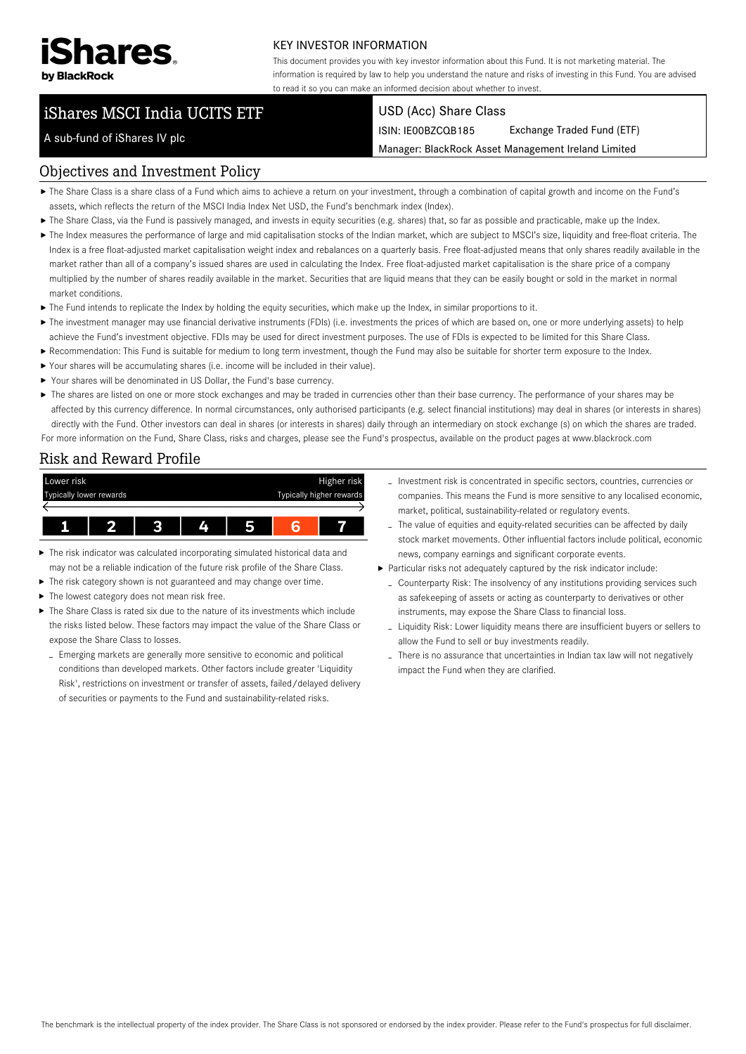

A sub-fund of iShares IV plc

#### KEY INVESTOR INFORMATION

This document provides you with key investor information about this Fund. It is not marketing material. The information is required by law to help you understand the nature and risks of investing in this Fund. You are advised to read it so you can make an informed decision about whether to invest.

### iShares MSCI India UCITS ETF

### USD (Acc) Share Class

ISIN: IE00BZCQB185 Exchange Traded Fund (ETF)

Manager: BlackRock Asset Management Ireland Limited

# Objectives and Investment Policy

- The Share Class is a share class of a Fund which aims to achieve a return on your investment, through a combination of capital growth and income on the Fund's assets, which reflects the return of the MSCI India Index Net USD, the Fund's benchmark index (Index).
- ▶ The Share Class, via the Fund is passively managed, and invests in equity securities (e.g. shares) that, so far as possible and practicable, make up the Index.
- ▶ The Index measures the performance of large and mid capitalisation stocks of the Indian market, which are subject to MSCI's size, liquidity and free-float criteria. The Index is a free float-adjusted market capitalisation weight index and rebalances on a quarterly basis. Free float-adjusted means that only shares readily available in the market rather than all of a company's issued shares are used in calculating the Index. Free float-adjusted market capitalisation is the share price of a company multiplied by the number of shares readily available in the market. Securities that are liquid means that they can be easily bought or sold in the market in normal market conditions.
- The Fund intends to replicate the Index by holding the equity securities, which make up the Index, in similar proportions to it.
- ▶ The investment manager may use financial derivative instruments (FDIs) (i.e. investments the prices of which are based on, one or more underlying assets) to help achieve the Fund's investment objective. FDIs may be used for direct investment purposes. The use of FDIs is expected to be limited for this Share Class.
- Recommendation: This Fund is suitable for medium to long term investment, though the Fund may also be suitable for shorter term exposure to the Index.
- Your shares will be accumulating shares (i.e. income will be included in their value).
- ▶ Your shares will be denominated in US Dollar, the Fund's base currency.
- ▶ The shares are listed on one or more stock exchanges and may be traded in currencies other than their base currency. The performance of your shares may be affected by this currency difference. In normal circumstances, only authorised participants (e.g. select financial institutions) may deal in shares (or interests in shares) directly with the Fund. Other investors can deal in shares (or interests in shares) daily through an intermediary on stock exchange (s) on which the shares are traded. For more information on the Fund, Share Class, risks and charges, please see the Fund's prospectus, available on the product pages at www.blackrock.com

## Risk and Reward Profile



- The risk indicator was calculated incorporating simulated historical data and may not be a reliable indication of the future risk profile of the Share Class.
- The risk category shown is not guaranteed and may change over time.
- The lowest category does not mean risk free. ▶
- The Share Class is rated six due to the nature of its investments which include the risks listed below. These factors may impact the value of the Share Class or expose the Share Class to losses.
	- Emerging markets are generally more sensitive to economic and political conditions than developed markets. Other factors include greater 'Liquidity Risk', restrictions on investment or transfer of assets, failed/delayed delivery of securities or payments to the Fund and sustainability-related risks.
- Investment risk is concentrated in specific sectors, countries, currencies or companies. This means the Fund is more sensitive to any localised economic, market, political, sustainability-related or regulatory events.
- The value of equities and equity-related securities can be affected by daily stock market movements. Other influential factors include political, economic news, company earnings and significant corporate events.
- Particular risks not adequately captured by the risk indicator include:
	- Counterparty Risk: The insolvency of any institutions providing services such as safekeeping of assets or acting as counterparty to derivatives or other instruments, may expose the Share Class to financial loss.
	- Liquidity Risk: Lower liquidity means there are insufficient buyers or sellers to allow the Fund to sell or buy investments readily.
	- There is no assurance that uncertainties in Indian tax law will not negatively impact the Fund when they are clarified.